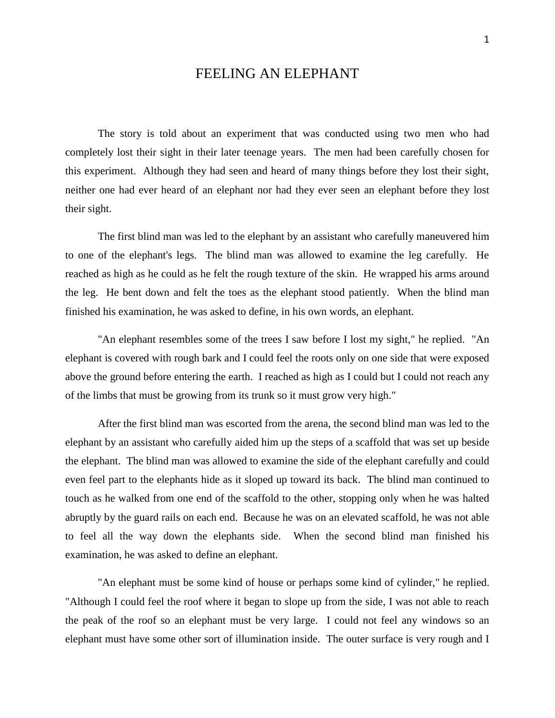## FEELING AN ELEPHANT

The story is told about an experiment that was conducted using two men who had completely lost their sight in their later teenage years. The men had been carefully chosen for this experiment. Although they had seen and heard of many things before they lost their sight, neither one had ever heard of an elephant nor had they ever seen an elephant before they lost their sight.

The first blind man was led to the elephant by an assistant who carefully maneuvered him to one of the elephant's legs. The blind man was allowed to examine the leg carefully. He reached as high as he could as he felt the rough texture of the skin. He wrapped his arms around the leg. He bent down and felt the toes as the elephant stood patiently. When the blind man finished his examination, he was asked to define, in his own words, an elephant.

"An elephant resembles some of the trees I saw before I lost my sight," he replied. "An elephant is covered with rough bark and I could feel the roots only on one side that were exposed above the ground before entering the earth. I reached as high as I could but I could not reach any of the limbs that must be growing from its trunk so it must grow very high."

After the first blind man was escorted from the arena, the second blind man was led to the elephant by an assistant who carefully aided him up the steps of a scaffold that was set up beside the elephant. The blind man was allowed to examine the side of the elephant carefully and could even feel part to the elephants hide as it sloped up toward its back. The blind man continued to touch as he walked from one end of the scaffold to the other, stopping only when he was halted abruptly by the guard rails on each end. Because he was on an elevated scaffold, he was not able to feel all the way down the elephants side. When the second blind man finished his examination, he was asked to define an elephant.

"An elephant must be some kind of house or perhaps some kind of cylinder," he replied. "Although I could feel the roof where it began to slope up from the side, I was not able to reach the peak of the roof so an elephant must be very large. I could not feel any windows so an elephant must have some other sort of illumination inside. The outer surface is very rough and I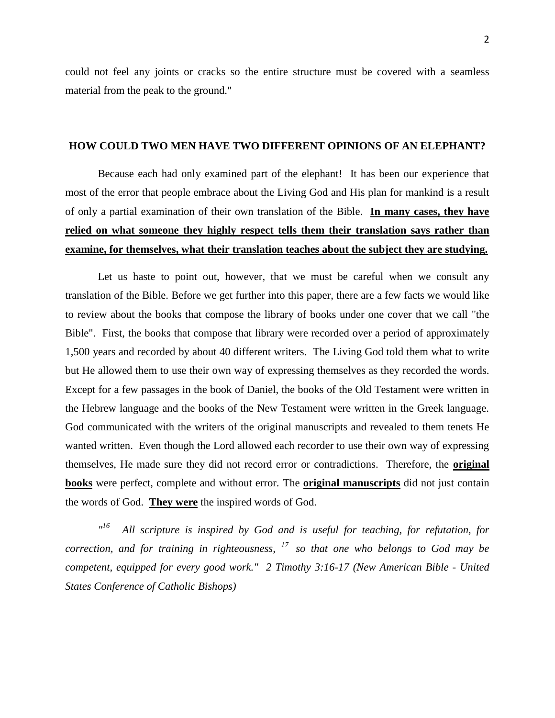could not feel any joints or cracks so the entire structure must be covered with a seamless material from the peak to the ground."

## **HOW COULD TWO MEN HAVE TWO DIFFERENT OPINIONS OF AN ELEPHANT?**

Because each had only examined part of the elephant! It has been our experience that most of the error that people embrace about the Living God and His plan for mankind is a result of only a partial examination of their own translation of the Bible. **In many cases, they have relied on what someone they highly respect tells them their translation says rather than examine, for themselves, what their translation teaches about the subject they are studying.**

Let us haste to point out, however, that we must be careful when we consult any translation of the Bible. Before we get further into this paper, there are a few facts we would like to review about the books that compose the library of books under one cover that we call "the Bible". First, the books that compose that library were recorded over a period of approximately 1,500 years and recorded by about 40 different writers. The Living God told them what to write but He allowed them to use their own way of expressing themselves as they recorded the words. Except for a few passages in the book of Daniel, the books of the Old Testament were written in the Hebrew language and the books of the New Testament were written in the Greek language. God communicated with the writers of the original manuscripts and revealed to them tenets He wanted written. Even though the Lord allowed each recorder to use their own way of expressing themselves, He made sure they did not record error or contradictions. Therefore, the **original books** were perfect, complete and without error. The **original manuscripts** did not just contain the words of God. **They were** the inspired words of God.

*" <sup>16</sup>All scripture is inspired by God and is useful for teaching, for refutation, for correction, and for training in righteousness, <sup>17</sup>so that one who belongs to God may be competent, equipped for every good work." 2 Timothy 3:16-17 (New American Bible - United States Conference of Catholic Bishops)*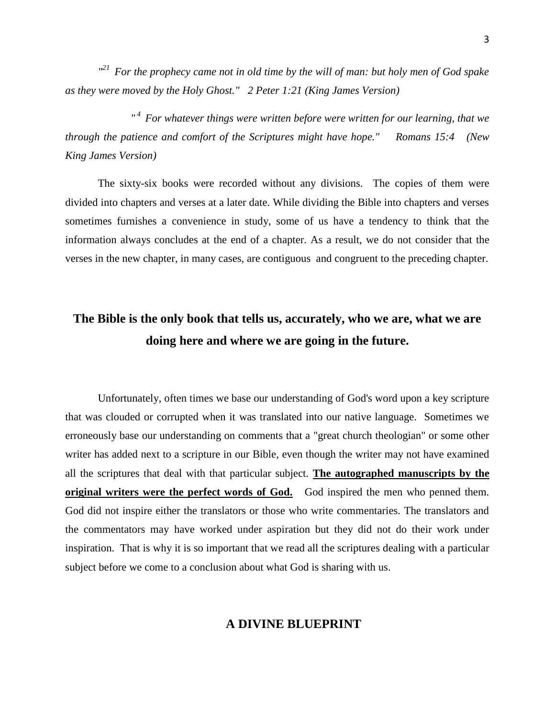<sup>121</sup> For the prophecy came not in old time by the will of man: but holy men of God spake *as they were moved by the Holy Ghost." 2 Peter 1:21 (King James Version)* 

*" <sup>4</sup>For whatever things were written before were written for our learning, that we through the patience and comfort of the Scriptures might have hope." Romans 15:4 (New King James Version)* 

The sixty-six books were recorded without any divisions. The copies of them were divided into chapters and verses at a later date. While dividing the Bible into chapters and verses sometimes furnishes a convenience in study, some of us have a tendency to think that the information always concludes at the end of a chapter. As a result, we do not consider that the verses in the new chapter, in many cases, are contiguous and congruent to the preceding chapter.

## **The Bible is the only book that tells us, accurately, who we are, what we are doing here and where we are going in the future.**

Unfortunately, often times we base our understanding of God's word upon a key scripture that was clouded or corrupted when it was translated into our native language. Sometimes we erroneously base our understanding on comments that a "great church theologian" or some other writer has added next to a scripture in our Bible, even though the writer may not have examined all the scriptures that deal with that particular subject. **The autographed manuscripts by the original writers were the perfect words of God.** God inspired the men who penned them. God did not inspire either the translators or those who write commentaries. The translators and the commentators may have worked under aspiration but they did not do their work under inspiration. That is why it is so important that we read all the scriptures dealing with a particular subject before we come to a conclusion about what God is sharing with us.

## **A DIVINE BLUEPRINT**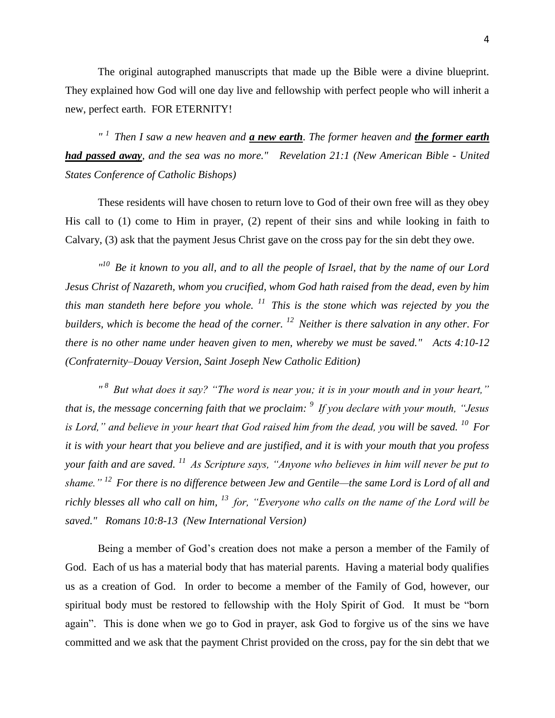The original autographed manuscripts that made up the Bible were a divine blueprint. They explained how God will one day live and fellowship with perfect people who will inherit a new, perfect earth. FOR ETERNITY!

*" <sup>1</sup>Then I saw a new heaven and a new earth. The former heaven and the former earth had passed away, and the sea was no more." Revelation 21:1 (New American Bible - United States Conference of Catholic Bishops)* 

These residents will have chosen to return love to God of their own free will as they obey His call to (1) come to Him in prayer, (2) repent of their sins and while looking in faith to Calvary, (3) ask that the payment Jesus Christ gave on the cross pay for the sin debt they owe.

*" <sup>10</sup>Be it known to you all, and to all the people of Israel, that by the name of our Lord Jesus Christ of Nazareth, whom you crucified, whom God hath raised from the dead, even by him this man standeth here before you whole. <sup>11</sup>This is the stone which was rejected by you the builders, which is become the head of the corner. <sup>12</sup>Neither is there salvation in any other. For there is no other name under heaven given to men, whereby we must be saved." Acts 4:10-12 (Confraternity–Douay Version, Saint Joseph New Catholic Edition)* 

*" <sup>8</sup>But what does it say? "The word is near you; it is in your mouth and in your heart," that is, the message concerning faith that we proclaim: <sup>9</sup>If you declare with your mouth, "Jesus is Lord," and believe in your heart that God raised him from the dead, you will be saved. <sup>10</sup>For it is with your heart that you believe and are justified, and it is with your mouth that you profess your faith and are saved. <sup>11</sup>As Scripture says, "Anyone who believes in him will never be put to shame." <sup>12</sup>For there is no difference between Jew and Gentile—the same Lord is Lord of all and richly blesses all who call on him, <sup>13</sup>for, "Everyone who calls on the name of the Lord will be saved." Romans 10:8-13 (New International Version)* 

Being a member of God's creation does not make a person a member of the Family of God. Each of us has a material body that has material parents. Having a material body qualifies us as a creation of God. In order to become a member of the Family of God, however, our spiritual body must be restored to fellowship with the Holy Spirit of God. It must be "born again". This is done when we go to God in prayer, ask God to forgive us of the sins we have committed and we ask that the payment Christ provided on the cross, pay for the sin debt that we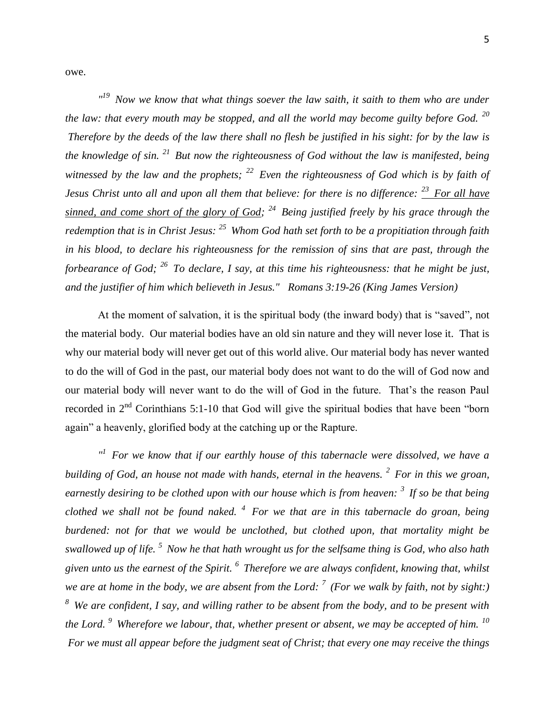owe.

*" <sup>19</sup>Now we know that what things soever the law saith, it saith to them who are under the law: that every mouth may be stopped, and all the world may become guilty before God. <sup>20</sup> Therefore by the deeds of the law there shall no flesh be justified in his sight: for by the law is the knowledge of sin. <sup>21</sup>But now the righteousness of God without the law is manifested, being witnessed by the law and the prophets; <sup>22</sup>Even the righteousness of God which is by faith of Jesus Christ unto all and upon all them that believe: for there is no difference: <sup>23</sup>For all have sinned, and come short of the glory of God; <sup>24</sup>Being justified freely by his grace through the redemption that is in Christ Jesus: <sup>25</sup>Whom God hath set forth to be a propitiation through faith in his blood, to declare his righteousness for the remission of sins that are past, through the forbearance of God; <sup>26</sup>To declare, I say, at this time his righteousness: that he might be just, and the justifier of him which believeth in Jesus." Romans 3:19-26 (King James Version)* 

At the moment of salvation, it is the spiritual body (the inward body) that is "saved", not the material body. Our material bodies have an old sin nature and they will never lose it. That is why our material body will never get out of this world alive. Our material body has never wanted to do the will of God in the past, our material body does not want to do the will of God now and our material body will never want to do the will of God in the future. That's the reason Paul recorded in 2<sup>nd</sup> Corinthians 5:1-10 that God will give the spiritual bodies that have been "born again" a heavenly, glorified body at the catching up or the Rapture.

<sup>*n*</sup> For we know that if our earthly house of this tabernacle were dissolved, we have a *building of God, an house not made with hands, eternal in the heavens. <sup>2</sup>For in this we groan, earnestly desiring to be clothed upon with our house which is from heaven: <sup>3</sup> If so be that being clothed we shall not be found naked. <sup>4</sup>For we that are in this tabernacle do groan, being burdened: not for that we would be unclothed, but clothed upon, that mortality might be swallowed up of life. <sup>5</sup>Now he that hath wrought us for the selfsame thing is God, who also hath given unto us the earnest of the Spirit. <sup>6</sup>Therefore we are always confident, knowing that, whilst we are at home in the body, we are absent from the Lord: <sup>7</sup>(For we walk by faith, not by sight:) <sup>8</sup>We are confident, I say, and willing rather to be absent from the body, and to be present with the Lord. <sup>9</sup>Wherefore we labour, that, whether present or absent, we may be accepted of him. <sup>10</sup> For we must all appear before the judgment seat of Christ; that every one may receive the things*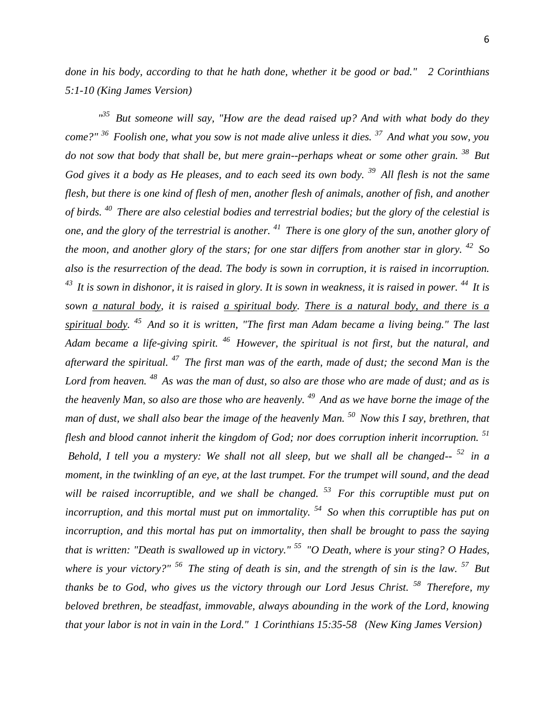*done in his body, according to that he hath done, whether it be good or bad." 2 Corinthians 5:1-10 (King James Version)* 

*" <sup>35</sup>But someone will say, "How are the dead raised up? And with what body do they come?" <sup>36</sup>Foolish one, what you sow is not made alive unless it dies. <sup>37</sup>And what you sow, you do not sow that body that shall be, but mere grain--perhaps wheat or some other grain. <sup>38</sup>But God gives it a body as He pleases, and to each seed its own body. <sup>39</sup>All flesh is not the same flesh, but there is one kind of flesh of men, another flesh of animals, another of fish, and another of birds. <sup>40</sup>There are also celestial bodies and terrestrial bodies; but the glory of the celestial is one, and the glory of the terrestrial is another. <sup>41</sup>There is one glory of the sun, another glory of the moon, and another glory of the stars; for one star differs from another star in glory. <sup>42</sup>So also is the resurrection of the dead. The body is sown in corruption, it is raised in incorruption. <sup>43</sup>It is sown in dishonor, it is raised in glory. It is sown in weakness, it is raised in power. <sup>44</sup>It is sown a natural body, it is raised a spiritual body. There is a natural body, and there is a spiritual body. <sup>45</sup>And so it is written, "The first man Adam became a living being." The last Adam became a life-giving spirit. <sup>46</sup>However, the spiritual is not first, but the natural, and afterward the spiritual. <sup>47</sup>The first man was of the earth, made of dust; the second Man is the Lord from heaven. <sup>48</sup>As was the man of dust, so also are those who are made of dust; and as is the heavenly Man, so also are those who are heavenly. <sup>49</sup>And as we have borne the image of the man of dust, we shall also bear the image of the heavenly Man. <sup>50</sup>Now this I say, brethren, that flesh and blood cannot inherit the kingdom of God; nor does corruption inherit incorruption. <sup>51</sup> Behold, I tell you a mystery: We shall not all sleep, but we shall all be changed-- <sup>52</sup>in a moment, in the twinkling of an eye, at the last trumpet. For the trumpet will sound, and the dead will be raised incorruptible, and we shall be changed. <sup>53</sup>For this corruptible must put on incorruption, and this mortal must put on immortality. <sup>54</sup>So when this corruptible has put on incorruption, and this mortal has put on immortality, then shall be brought to pass the saying that is written: "Death is swallowed up in victory." <sup>55</sup>"O Death, where is your sting? O Hades, where is your victory?" <sup>56</sup>The sting of death is sin, and the strength of sin is the law. <sup>57</sup>But thanks be to God, who gives us the victory through our Lord Jesus Christ. <sup>58</sup>Therefore, my beloved brethren, be steadfast, immovable, always abounding in the work of the Lord, knowing that your labor is not in vain in the Lord." 1 Corinthians 15:35-58 (New King James Version)*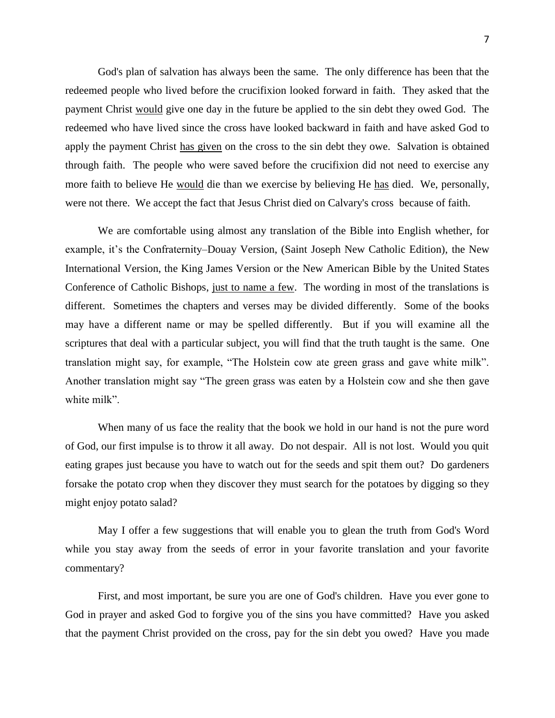God's plan of salvation has always been the same. The only difference has been that the redeemed people who lived before the crucifixion looked forward in faith. They asked that the payment Christ would give one day in the future be applied to the sin debt they owed God. The redeemed who have lived since the cross have looked backward in faith and have asked God to apply the payment Christ has given on the cross to the sin debt they owe. Salvation is obtained through faith. The people who were saved before the crucifixion did not need to exercise any more faith to believe He would die than we exercise by believing He has died. We, personally, were not there. We accept the fact that Jesus Christ died on Calvary's cross because of faith.

We are comfortable using almost any translation of the Bible into English whether, for example, it's the Confraternity–Douay Version, (Saint Joseph New Catholic Edition), the New International Version, the King James Version or the New American Bible by the United States Conference of Catholic Bishops, just to name a few. The wording in most of the translations is different. Sometimes the chapters and verses may be divided differently. Some of the books may have a different name or may be spelled differently. But if you will examine all the scriptures that deal with a particular subject, you will find that the truth taught is the same. One translation might say, for example, "The Holstein cow ate green grass and gave white milk". Another translation might say "The green grass was eaten by a Holstein cow and she then gave white milk".

When many of us face the reality that the book we hold in our hand is not the pure word of God, our first impulse is to throw it all away. Do not despair. All is not lost. Would you quit eating grapes just because you have to watch out for the seeds and spit them out? Do gardeners forsake the potato crop when they discover they must search for the potatoes by digging so they might enjoy potato salad?

May I offer a few suggestions that will enable you to glean the truth from God's Word while you stay away from the seeds of error in your favorite translation and your favorite commentary?

First, and most important, be sure you are one of God's children. Have you ever gone to God in prayer and asked God to forgive you of the sins you have committed? Have you asked that the payment Christ provided on the cross, pay for the sin debt you owed? Have you made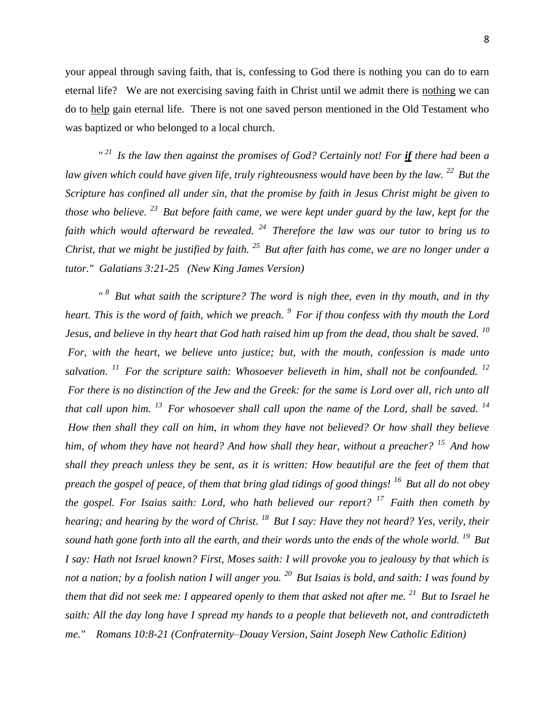your appeal through saving faith, that is, confessing to God there is nothing you can do to earn eternal life? We are not exercising saving faith in Christ until we admit there is nothing we can do to help gain eternal life. There is not one saved person mentioned in the Old Testament who was baptized or who belonged to a local church.

*" <sup>21</sup>Is the law then against the promises of God? Certainly not! For if there had been a law given which could have given life, truly righteousness would have been by the law. <sup>22</sup>But the Scripture has confined all under sin, that the promise by faith in Jesus Christ might be given to those who believe. <sup>23</sup>But before faith came, we were kept under guard by the law, kept for the faith which would afterward be revealed. <sup>24</sup>Therefore the law was our tutor to bring us to Christ, that we might be justified by faith. <sup>25</sup>But after faith has come, we are no longer under a tutor." Galatians 3:21-25 (New King James Version)* 

*" <sup>8</sup>But what saith the scripture? The word is nigh thee, even in thy mouth, and in thy heart. This is the word of faith, which we preach. <sup>9</sup>For if thou confess with thy mouth the Lord Jesus, and believe in thy heart that God hath raised him up from the dead, thou shalt be saved. <sup>10</sup> For, with the heart, we believe unto justice; but, with the mouth, confession is made unto*  salvation. <sup>11</sup> For the scripture saith: Whosoever believeth in him, shall not be confounded. <sup>12</sup> *For there is no distinction of the Jew and the Greek: for the same is Lord over all, rich unto all that call upon him.* <sup> $13$ </sup> For whosoever shall call upon the name of the Lord, shall be saved. <sup>14</sup> *How then shall they call on him, in whom they have not believed? Or how shall they believe him, of whom they have not heard? And how shall they hear, without a preacher? <sup>15</sup>And how shall they preach unless they be sent, as it is written: How beautiful are the feet of them that preach the gospel of peace, of them that bring glad tidings of good things! <sup>16</sup>But all do not obey the gospel. For Isaias saith: Lord, who hath believed our report? <sup>17</sup>Faith then cometh by hearing; and hearing by the word of Christ. <sup>18</sup>But I say: Have they not heard? Yes, verily, their sound hath gone forth into all the earth, and their words unto the ends of the whole world. <sup>19</sup>But I say: Hath not Israel known? First, Moses saith: I will provoke you to jealousy by that which is not a nation; by a foolish nation I will anger you. <sup>20</sup>But Isaias is bold, and saith: I was found by them that did not seek me: I appeared openly to them that asked not after me. <sup>21</sup>But to Israel he saith: All the day long have I spread my hands to a people that believeth not, and contradicteth me." Romans 10:8-21 (Confraternity–Douay Version, Saint Joseph New Catholic Edition)*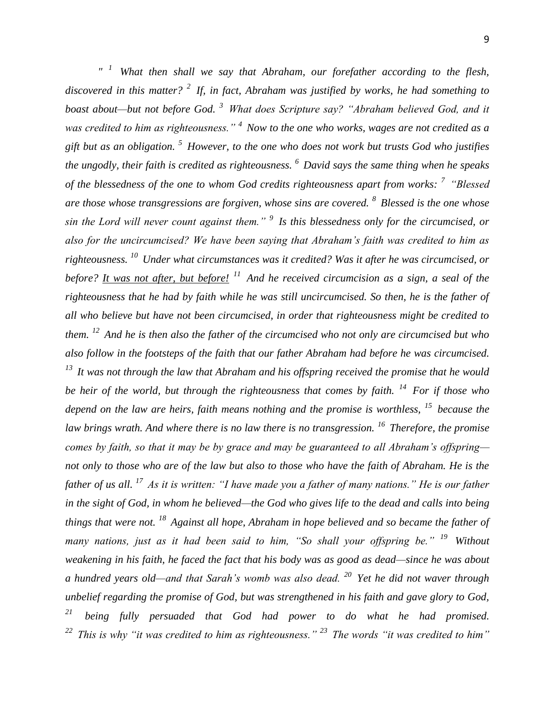*" 1What then shall we say that Abraham, our forefather according to the flesh, discovered in this matter? <sup>2</sup>If, in fact, Abraham was justified by works, he had something to boast about—but not before God. <sup>3</sup>What does Scripture say? "Abraham believed God, and it was credited to him as righteousness." <sup>4</sup>Now to the one who works, wages are not credited as a gift but as an obligation. <sup>5</sup>However, to the one who does not work but trusts God who justifies the ungodly, their faith is credited as righteousness. <sup>6</sup>David says the same thing when he speaks of the blessedness of the one to whom God credits righteousness apart from works: <sup>7</sup>"Blessed are those whose transgressions are forgiven, whose sins are covered. <sup>8</sup> Blessed is the one whose sin the Lord will never count against them." <sup>9</sup>Is this blessedness only for the circumcised, or also for the uncircumcised? We have been saying that Abraham's faith was credited to him as righteousness. <sup>10</sup>Under what circumstances was it credited? Was it after he was circumcised, or before? It was not after, but before! <sup>11</sup>And he received circumcision as a sign, a seal of the righteousness that he had by faith while he was still uncircumcised. So then, he is the father of all who believe but have not been circumcised, in order that righteousness might be credited to them. <sup>12</sup>And he is then also the father of the circumcised who not only are circumcised but who also follow in the footsteps of the faith that our father Abraham had before he was circumcised. <sup>13</sup>It was not through the law that Abraham and his offspring received the promise that he would be heir of the world, but through the righteousness that comes by faith. <sup>14</sup>For if those who depend on the law are heirs, faith means nothing and the promise is worthless, <sup>15</sup>because the law brings wrath. And where there is no law there is no transgression. <sup>16</sup>Therefore, the promise comes by faith, so that it may be by grace and may be guaranteed to all Abraham's offspring not only to those who are of the law but also to those who have the faith of Abraham. He is the father of us all. <sup>17</sup>As it is written: "I have made you a father of many nations." He is our father in the sight of God, in whom he believed—the God who gives life to the dead and calls into being things that were not. <sup>18</sup>Against all hope, Abraham in hope believed and so became the father of many nations, just as it had been said to him, "So shall your offspring be." <sup>19</sup>Without weakening in his faith, he faced the fact that his body was as good as dead—since he was about a hundred years old—and that Sarah's womb was also dead. <sup>20</sup>Yet he did not waver through unbelief regarding the promise of God, but was strengthened in his faith and gave glory to God, <sup>21</sup>being fully persuaded that God had power to do what he had promised. <sup>22</sup>This is why "it was credited to him as righteousness." <sup>23</sup>The words "it was credited to him"*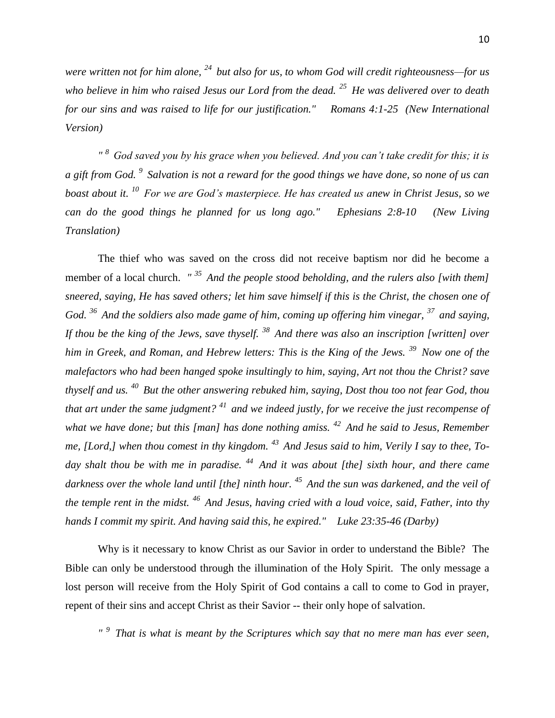10

*were written not for him alone, <sup>24</sup>but also for us, to whom God will credit righteousness—for us who believe in him who raised Jesus our Lord from the dead. <sup>25</sup>He was delivered over to death for our sins and was raised to life for our justification." Romans 4:1-25 (New International Version)* 

*" <sup>8</sup>God saved you by his grace when you believed. And you can't take credit for this; it is a gift from God. <sup>9</sup>Salvation is not a reward for the good things we have done, so none of us can boast about it. <sup>10</sup>For we are God's masterpiece. He has created us anew in Christ Jesus, so we can do the good things he planned for us long ago." Ephesians 2:8-10 (New Living Translation)*

The thief who was saved on the cross did not receive baptism nor did he become a member of a local church. *"*<sup>35</sup> And the people stood beholding, and the rulers also [with them] *sneered, saying, He has saved others; let him save himself if this is the Christ, the chosen one of God. <sup>36</sup>And the soldiers also made game of him, coming up offering him vinegar, <sup>37</sup>and saying, If thou be the king of the Jews, save thyself. <sup>38</sup>And there was also an inscription [written] over him in Greek, and Roman, and Hebrew letters: This is the King of the Jews. <sup>39</sup>Now one of the malefactors who had been hanged spoke insultingly to him, saying, Art not thou the Christ? save thyself and us. <sup>40</sup>But the other answering rebuked him, saying, Dost thou too not fear God, thou that art under the same judgment? <sup>41</sup>and we indeed justly, for we receive the just recompense of what we have done; but this [man] has done nothing amiss. <sup>42</sup>And he said to Jesus, Remember me, [Lord,] when thou comest in thy kingdom. <sup>43</sup>And Jesus said to him, Verily I say to thee, Today shalt thou be with me in paradise. <sup>44</sup>And it was about [the] sixth hour, and there came darkness over the whole land until [the] ninth hour. <sup>45</sup>And the sun was darkened, and the veil of the temple rent in the midst. <sup>46</sup>And Jesus, having cried with a loud voice, said, Father, into thy hands I commit my spirit. And having said this, he expired." Luke 23:35-46 (Darby)*

Why is it necessary to know Christ as our Savior in order to understand the Bible? The Bible can only be understood through the illumination of the Holy Spirit. The only message a lost person will receive from the Holy Spirit of God contains a call to come to God in prayer, repent of their sins and accept Christ as their Savior -- their only hope of salvation.

*" <sup>9</sup>That is what is meant by the Scriptures which say that no mere man has ever seen,*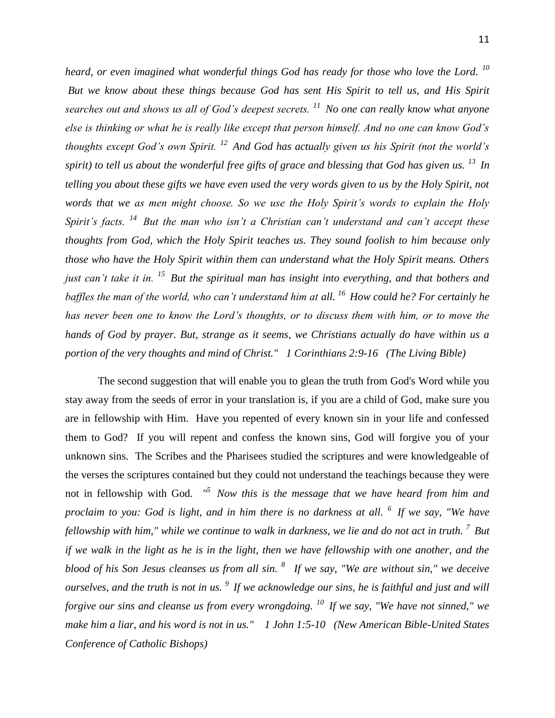*heard, or even imagined what wonderful things God has ready for those who love the Lord. <sup>10</sup> But we know about these things because God has sent His Spirit to tell us, and His Spirit searches out and shows us all of God's deepest secrets. <sup>11</sup>No one can really know what anyone else is thinking or what he is really like except that person himself. And no one can know God's thoughts except God's own Spirit. <sup>12</sup>And God has actually given us his Spirit (not the world's spirit) to tell us about the wonderful free gifts of grace and blessing that God has given us.* <sup>13</sup> In *telling you about these gifts we have even used the very words given to us by the Holy Spirit, not words that we as men might choose. So we use the Holy Spirit's words to explain the Holy Spirit's facts. <sup>14</sup>But the man who isn't a Christian can't understand and can't accept these thoughts from God, which the Holy Spirit teaches us. They sound foolish to him because only those who have the Holy Spirit within them can understand what the Holy Spirit means. Others just can't take it in. <sup>15</sup>But the spiritual man has insight into everything, and that bothers and baffles the man of the world, who can't understand him at all. <sup>16</sup>How could he? For certainly he has never been one to know the Lord's thoughts, or to discuss them with him, or to move the hands of God by prayer. But, strange as it seems, we Christians actually do have within us a portion of the very thoughts and mind of Christ." 1 Corinthians 2:9-16 (The Living Bible)*

The second suggestion that will enable you to glean the truth from God's Word while you stay away from the seeds of error in your translation is, if you are a child of God, make sure you are in fellowship with Him. Have you repented of every known sin in your life and confessed them to God? If you will repent and confess the known sins, God will forgive you of your unknown sins. The Scribes and the Pharisees studied the scriptures and were knowledgeable of the verses the scriptures contained but they could not understand the teachings because they were not in fellowship with God. *" <sup>5</sup>Now this is the message that we have heard from him and proclaim to you: God is light, and in him there is no darkness at all. <sup>6</sup>If we say, "We have fellowship with him," while we continue to walk in darkness, we lie and do not act in truth. <sup>7</sup>But if we walk in the light as he is in the light, then we have fellowship with one another, and the blood of his Son Jesus cleanses us from all sin. <sup>8</sup>If we say, "We are without sin," we deceive ourselves, and the truth is not in us. <sup>9</sup>If we acknowledge our sins, he is faithful and just and will forgive our sins and cleanse us from every wrongdoing. <sup>10</sup>If we say, "We have not sinned," we make him a liar, and his word is not in us." 1 John 1:5-10 (New American Bible-United States Conference of Catholic Bishops)*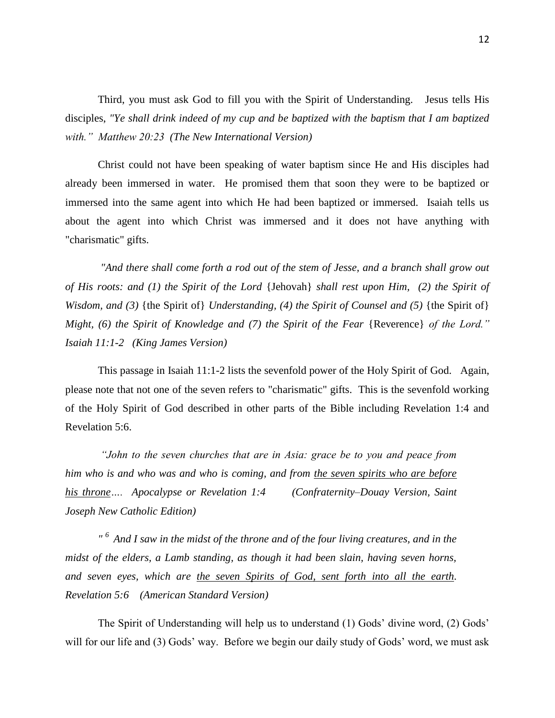Third, you must ask God to fill you with the Spirit of Understanding. Jesus tells His disciples, *"Ye shall drink indeed of my cup and be baptized with the baptism that I am baptized with." Matthew 20:23 (The New International Version)* 

Christ could not have been speaking of water baptism since He and His disciples had already been immersed in water. He promised them that soon they were to be baptized or immersed into the same agent into which He had been baptized or immersed. Isaiah tells us about the agent into which Christ was immersed and it does not have anything with "charismatic" gifts.

*"And there shall come forth a rod out of the stem of Jesse, and a branch shall grow out of His roots: and (1) the Spirit of the Lord* {Jehovah} *shall rest upon Him, (2) the Spirit of Wisdom, and (3)* {the Spirit of} *Understanding, (4) the Spirit of Counsel and (5)* {the Spirit of} *Might, (6) the Spirit of Knowledge and (7) the Spirit of the Fear {Reverence} of the Lord." Isaiah 11:1-2 (King James Version)*

This passage in Isaiah 11:1-2 lists the sevenfold power of the Holy Spirit of God. Again, please note that not one of the seven refers to "charismatic" gifts. This is the sevenfold working of the Holy Spirit of God described in other parts of the Bible including Revelation 1:4 and Revelation 5:6.

*"John to the seven churches that are in Asia: grace be to you and peace from him who is and who was and who is coming, and from the seven spirits who are before his throne…. Apocalypse or Revelation 1:4 (Confraternity–Douay Version, Saint Joseph New Catholic Edition)*

*" <sup>6</sup>And I saw in the midst of the throne and of the four living creatures, and in the midst of the elders, a Lamb standing, as though it had been slain, having seven horns, and seven eyes, which are the seven Spirits of God, sent forth into all the earth. Revelation 5:6 (American Standard Version)*

The Spirit of Understanding will help us to understand (1) Gods' divine word, (2) Gods' will for our life and (3) Gods' way. Before we begin our daily study of Gods' word, we must ask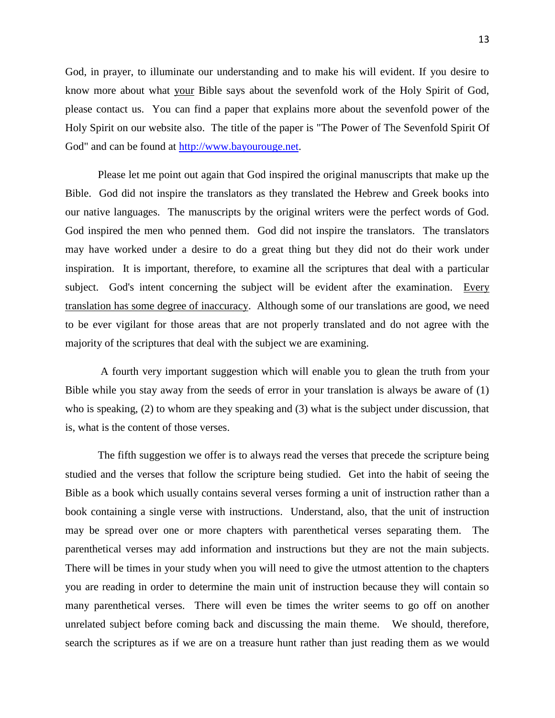God, in prayer, to illuminate our understanding and to make his will evident. If you desire to know more about what your Bible says about the sevenfold work of the Holy Spirit of God, please contact us. You can find a paper that explains more about the sevenfold power of the Holy Spirit on our website also. The title of the paper is "The Power of The Sevenfold Spirit Of God" and can be found at [http://www.bayourouge.net.](http://www.bayourouge.net/)

Please let me point out again that God inspired the original manuscripts that make up the Bible. God did not inspire the translators as they translated the Hebrew and Greek books into our native languages. The manuscripts by the original writers were the perfect words of God. God inspired the men who penned them. God did not inspire the translators. The translators may have worked under a desire to do a great thing but they did not do their work under inspiration. It is important, therefore, to examine all the scriptures that deal with a particular subject. God's intent concerning the subject will be evident after the examination. Every translation has some degree of inaccuracy. Although some of our translations are good, we need to be ever vigilant for those areas that are not properly translated and do not agree with the majority of the scriptures that deal with the subject we are examining.

A fourth very important suggestion which will enable you to glean the truth from your Bible while you stay away from the seeds of error in your translation is always be aware of (1) who is speaking, (2) to whom are they speaking and (3) what is the subject under discussion, that is, what is the content of those verses.

The fifth suggestion we offer is to always read the verses that precede the scripture being studied and the verses that follow the scripture being studied. Get into the habit of seeing the Bible as a book which usually contains several verses forming a unit of instruction rather than a book containing a single verse with instructions. Understand, also, that the unit of instruction may be spread over one or more chapters with parenthetical verses separating them. The parenthetical verses may add information and instructions but they are not the main subjects. There will be times in your study when you will need to give the utmost attention to the chapters you are reading in order to determine the main unit of instruction because they will contain so many parenthetical verses. There will even be times the writer seems to go off on another unrelated subject before coming back and discussing the main theme. We should, therefore, search the scriptures as if we are on a treasure hunt rather than just reading them as we would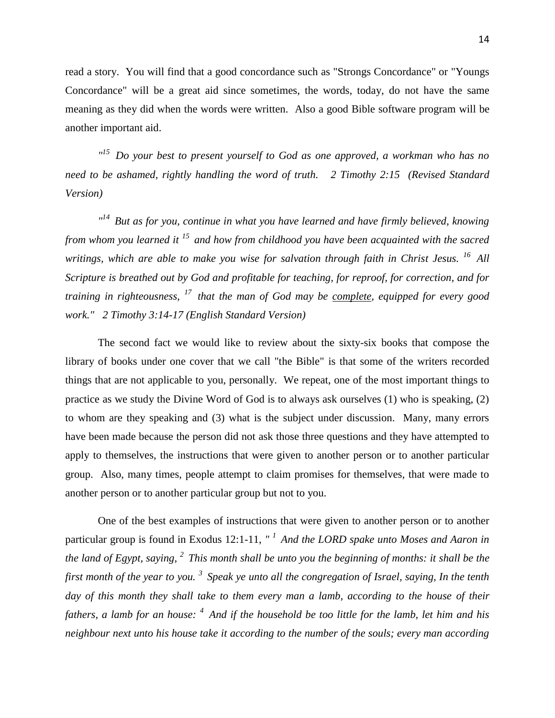read a story. You will find that a good concordance such as "Strongs Concordance" or "Youngs Concordance" will be a great aid since sometimes, the words, today, do not have the same meaning as they did when the words were written. Also a good Bible software program will be another important aid.

*" <sup>15</sup>Do your best to present yourself to God as one approved, a workman who has no need to be ashamed, rightly handling the word of truth. 2 Timothy 2:15 (Revised Standard Version)*

*" <sup>14</sup>But as for you, continue in what you have learned and have firmly believed, knowing from whom you learned it <sup>15</sup>and how from childhood you have been acquainted with the sacred writings, which are able to make you wise for salvation through faith in Christ Jesus. <sup>16</sup>All Scripture is breathed out by God and profitable for teaching, for reproof, for correction, and for training in righteousness, <sup>17</sup>that the man of God may be complete, equipped for every good work." 2 Timothy 3:14-17 (English Standard Version)*

The second fact we would like to review about the sixty-six books that compose the library of books under one cover that we call "the Bible" is that some of the writers recorded things that are not applicable to you, personally. We repeat, one of the most important things to practice as we study the Divine Word of God is to always ask ourselves (1) who is speaking, (2) to whom are they speaking and (3) what is the subject under discussion. Many, many errors have been made because the person did not ask those three questions and they have attempted to apply to themselves, the instructions that were given to another person or to another particular group. Also, many times, people attempt to claim promises for themselves, that were made to another person or to another particular group but not to you.

One of the best examples of instructions that were given to another person or to another particular group is found in Exodus 12:1-11, *" <sup>1</sup>And the LORD spake unto Moses and Aaron in the land of Egypt, saying, <sup>2</sup>This month shall be unto you the beginning of months: it shall be the first month of the year to you. <sup>3</sup>Speak ye unto all the congregation of Israel, saying, In the tenth day of this month they shall take to them every man a lamb, according to the house of their fathers, a lamb for an house: <sup>4</sup>And if the household be too little for the lamb, let him and his neighbour next unto his house take it according to the number of the souls; every man according*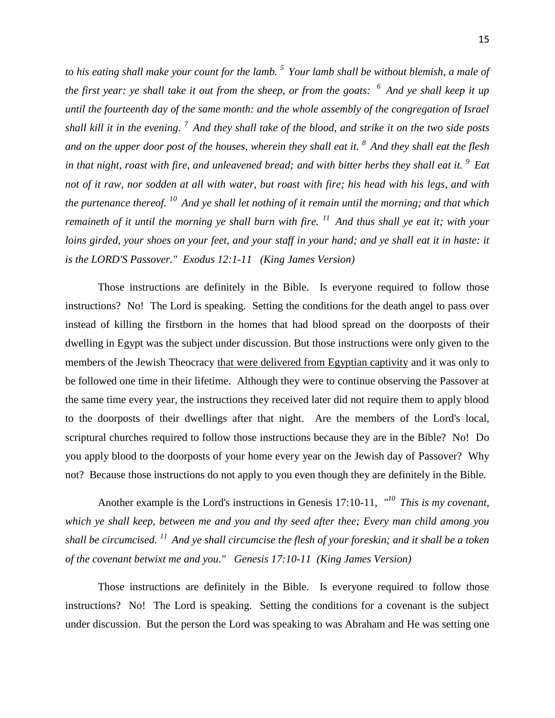*to his eating shall make your count for the lamb. <sup>5</sup>Your lamb shall be without blemish, a male of the first year: ye shall take it out from the sheep, or from the goats: <sup>6</sup>And ye shall keep it up until the fourteenth day of the same month: and the whole assembly of the congregation of Israel shall kill it in the evening. <sup>7</sup>And they shall take of the blood, and strike it on the two side posts and on the upper door post of the houses, wherein they shall eat it. <sup>8</sup>And they shall eat the flesh in that night, roast with fire, and unleavened bread; and with bitter herbs they shall eat it. <sup>9</sup>Eat not of it raw, nor sodden at all with water, but roast with fire; his head with his legs, and with the purtenance thereof. <sup>10</sup>And ye shall let nothing of it remain until the morning; and that which remaineth of it until the morning ye shall burn with fire. <sup>11</sup>And thus shall ye eat it; with your loins girded, your shoes on your feet, and your staff in your hand; and ye shall eat it in haste: it is the LORD'S Passover." Exodus 12:1-11 (King James Version)* 

Those instructions are definitely in the Bible. Is everyone required to follow those instructions? No! The Lord is speaking. Setting the conditions for the death angel to pass over instead of killing the firstborn in the homes that had blood spread on the doorposts of their dwelling in Egypt was the subject under discussion. But those instructions were only given to the members of the Jewish Theocracy that were delivered from Egyptian captivity and it was only to be followed one time in their lifetime. Although they were to continue observing the Passover at the same time every year, the instructions they received later did not require them to apply blood to the doorposts of their dwellings after that night. Are the members of the Lord's local, scriptural churches required to follow those instructions because they are in the Bible? No! Do you apply blood to the doorposts of your home every year on the Jewish day of Passover? Why not? Because those instructions do not apply to you even though they are definitely in the Bible.

Another example is the Lord's instructions in Genesis 17:10-11, *" <sup>10</sup>This is my covenant, which ye shall keep, between me and you and thy seed after thee; Every man child among you shall be circumcised. <sup>11</sup>And ye shall circumcise the flesh of your foreskin; and it shall be a token of the covenant betwixt me and you." Genesis 17:10-11 (King James Version)* 

Those instructions are definitely in the Bible. Is everyone required to follow those instructions? No! The Lord is speaking. Setting the conditions for a covenant is the subject under discussion. But the person the Lord was speaking to was Abraham and He was setting one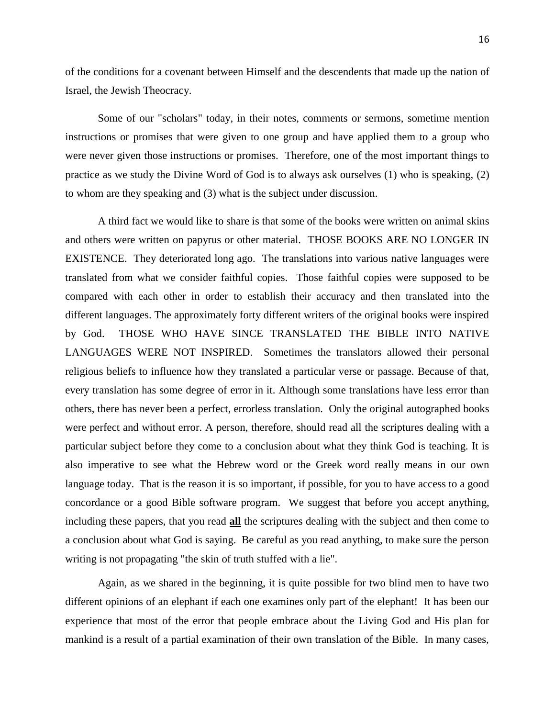of the conditions for a covenant between Himself and the descendents that made up the nation of Israel, the Jewish Theocracy.

Some of our "scholars" today, in their notes, comments or sermons, sometime mention instructions or promises that were given to one group and have applied them to a group who were never given those instructions or promises. Therefore, one of the most important things to practice as we study the Divine Word of God is to always ask ourselves (1) who is speaking, (2) to whom are they speaking and (3) what is the subject under discussion.

A third fact we would like to share is that some of the books were written on animal skins and others were written on papyrus or other material. THOSE BOOKS ARE NO LONGER IN EXISTENCE. They deteriorated long ago. The translations into various native languages were translated from what we consider faithful copies. Those faithful copies were supposed to be compared with each other in order to establish their accuracy and then translated into the different languages. The approximately forty different writers of the original books were inspired by God. THOSE WHO HAVE SINCE TRANSLATED THE BIBLE INTO NATIVE LANGUAGES WERE NOT INSPIRED. Sometimes the translators allowed their personal religious beliefs to influence how they translated a particular verse or passage. Because of that, every translation has some degree of error in it. Although some translations have less error than others, there has never been a perfect, errorless translation. Only the original autographed books were perfect and without error. A person, therefore, should read all the scriptures dealing with a particular subject before they come to a conclusion about what they think God is teaching. It is also imperative to see what the Hebrew word or the Greek word really means in our own language today. That is the reason it is so important, if possible, for you to have access to a good concordance or a good Bible software program. We suggest that before you accept anything, including these papers, that you read **all** the scriptures dealing with the subject and then come to a conclusion about what God is saying. Be careful as you read anything, to make sure the person writing is not propagating "the skin of truth stuffed with a lie".

Again, as we shared in the beginning, it is quite possible for two blind men to have two different opinions of an elephant if each one examines only part of the elephant! It has been our experience that most of the error that people embrace about the Living God and His plan for mankind is a result of a partial examination of their own translation of the Bible. In many cases,